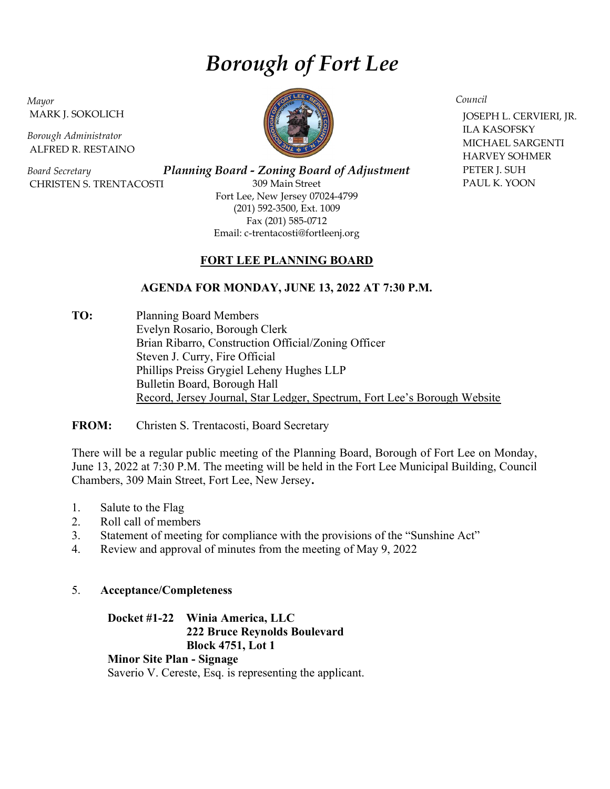# Borough of Fort Lee

Mayor MARK J. SOKOLICH

Borough Administrator ALFRED R. RESTAINO

Board Secretary CHRISTEN S. TRENTACOSTI

Planning Board - Zoning Board of Adjustment 309 Main Street Fort Lee, New Jersey 07024-4799 (201) 592-3500, Ext. 1009 Fax (201) 585-0712 Email: c-trentacosti@fortleenj.org

### FORT LEE PLANNING BOARD

# AGENDA FOR MONDAY, JUNE 13, 2022 AT 7:30 P.M.

TO: Planning Board Members Evelyn Rosario, Borough Clerk Brian Ribarro, Construction Official/Zoning Officer Steven J. Curry, Fire Official Phillips Preiss Grygiel Leheny Hughes LLP Bulletin Board, Borough Hall Record, Jersey Journal, Star Ledger, Spectrum, Fort Lee's Borough Website

FROM: Christen S. Trentacosti, Board Secretary

There will be a regular public meeting of the Planning Board, Borough of Fort Lee on Monday, June 13, 2022 at 7:30 P.M. The meeting will be held in the Fort Lee Municipal Building, Council Chambers, 309 Main Street, Fort Lee, New Jersey.

- 1. Salute to the Flag
- 2. Roll call of members
- 3. Statement of meeting for compliance with the provisions of the "Sunshine Act"
- 4. Review and approval of minutes from the meeting of May 9, 2022

### 5. Acceptance/Completeness

#### Docket #1-22 Winia America, LLC 222 Bruce Reynolds Boulevard Block 4751, Lot 1

### Minor Site Plan - Signage

Saverio V. Cereste, Esq. is representing the applicant.



Council

 JOSEPH L. CERVIERI, JR. ILA KASOFSKY MICHAEL SARGENTI HARVEY SOHMER PETER J. SUH PAUL K. YOON